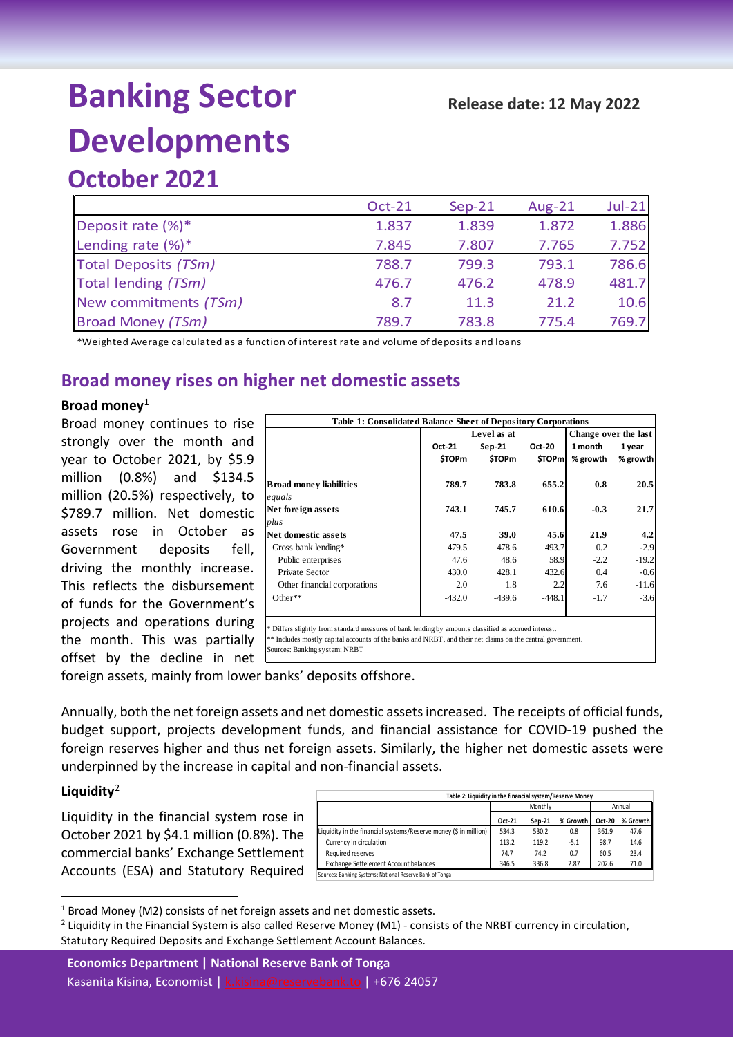# **Banking Sector Developments**

|                             | <b>Oct-21</b> | $Sep-21$ | Aug-21 | $Jul-21$ |
|-----------------------------|---------------|----------|--------|----------|
| Deposit rate $(\%)^*$       | 1.837         | 1.839    | 1.872  | 1.886    |
| Lending rate $(\%)^*$       | 7.845         | 7.807    | 7.765  | 7.752    |
| <b>Total Deposits (TSm)</b> | 788.7         | 799.3    | 793.1  | 786.6    |
| Total lending (TSm)         | 476.7         | 476.2    | 478.9  | 481.7    |
| New commitments (TSm)       | 8.7           | 11.3     | 21.2   | 10.6     |
| <b>Broad Money (TSm)</b>    | 789.7         | 783.8    | 775.4  | 769.7    |

\*Weighted Average calculated as a function of interest rate and volume of deposits and loans

## **Broad money rises on higher net domestic assets**

#### **Broad money**[1](#page-0-0)

Broad money continues to rise strongly over the month and year to October 2021, by \$5.9 million (0.8%) and \$134.5 million (20.5%) respectively, to \$789.7 million. Net domestic assets rose in October as Government deposits fell, driving the monthly increase. This reflects the disbursement of funds for the Government's projects and operations during the month. This was partially offset by the decline in net

|                                          |               | Level as at   | Change over the last |          |          |  |
|------------------------------------------|---------------|---------------|----------------------|----------|----------|--|
|                                          | Oct-21        | Sep-21        | Oct-20               | 1 month  | 1 year   |  |
|                                          | <b>\$TOPm</b> | <b>STOP</b> m | \$TOPm               | % growth | % growth |  |
| <b>Broad money liabilities</b><br>equals | 789.7         | 783.8         | 655.2                | 0.8      | 20.5     |  |
| Net foreign assets                       | 743.1         | 745.7         | 610.6                | $-0.3$   | 21.7     |  |
| plus                                     |               |               |                      |          |          |  |
| Net domestic assets                      | 47.5          | 39.0          | 45.6                 | 21.9     | 4.2      |  |
| Gross bank lending*                      | 479.5         | 478.6         | 493.7                | 0.2      | $-2.9$   |  |
| Public enterprises                       | 47.6          | 48.6          | 58.9                 | $-2.2$   | $-19.2$  |  |
| Private Sector                           | 430.0         | 428.1         | 432.6                | 0.4      | $-0.6$   |  |
| Other financial corporations             | 2.0           | 1.8           | 2.2                  | 7.6      | $-11.6$  |  |
| Other**                                  | $-432.0$      | $-439.6$      | $-448.1$             | $-1.7$   | $-3.6$   |  |

foreign assets, mainly from lower banks' deposits offshore.

Annually, both the net foreign assets and net domestic assets increased. The receipts of official funds, budget support, projects development funds, and financial assistance for COVID-19 pushed the foreign reserves higher and thus net foreign assets. Similarly, the higher net domestic assets were underpinned by the increase in capital and non-financial assets.

#### **Liquidity**[2](#page-0-1)

Liquidity in the financial system rose in October 2021 by \$4.1 million (0.8%). The commercial banks' Exchange Settlement Accounts (ESA) and Statutory Required

| Table 2: Liquidity in the financial system/Reserve Money         |        |         |          |        |          |  |  |  |
|------------------------------------------------------------------|--------|---------|----------|--------|----------|--|--|--|
|                                                                  |        | Monthly | Annual   |        |          |  |  |  |
|                                                                  | Oct-21 | Sep-21  | % Growth | Oct-20 | % Growth |  |  |  |
| Liquidity in the financial systems/Reserve money (\$ in million) | 534.3  | 530.2   | 0.8      | 361.9  | 47.6     |  |  |  |
| Currency in circulation                                          | 113.2  | 119.2   | $-5.1$   | 98.7   | 14.6     |  |  |  |
| Required reserves                                                | 74.7   | 74.2    | 0.7      | 60.5   | 23.4     |  |  |  |
| Exchange Settelement Account balances                            | 346.5  | 336.8   | 2.87     | 202.6  | 71.0     |  |  |  |
| Sources: Banking Systems; National Reserve Bank of Tonga         |        |         |          |        |          |  |  |  |

<span id="page-0-0"></span> $1$  Broad Money (M2) consists of net foreign assets and net domestic assets.

**Economics Department | National Reserve Bank of Tonga** Kasanita Kisina, Economist | [k.kisina@reservebank.to](mailto:k.kisina@reservebank.to) | +676 24057

<span id="page-0-1"></span> $2$  Liquidity in the Financial System is also called Reserve Money (M1) - consists of the NRBT currency in circulation, Statutory Required Deposits and Exchange Settlement Account Balances.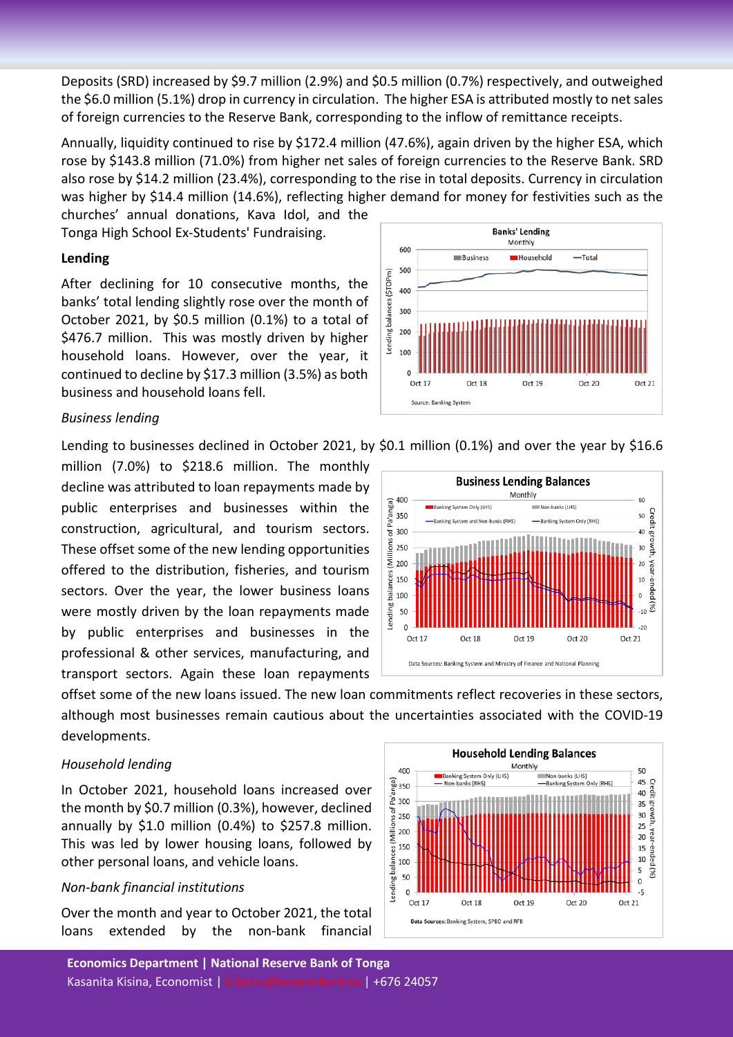Deposits (SRD) increased by \$9.7 million (2.9%) and \$0.5 million (0.7%) respectively, and outweighed the \$6.0 million (5.1%) drop in currency in circulation. The higher ESA is attributed mostly to net sales of foreign currencies to the Reserve Bank, corresponding to the inflow of remittance receipts.

Annually, liquidity continued to rise by \$172.4 million (47.6%), again driven by the higher ESA, which rose by \$143.8 million (71.0%) from higher net sales of foreign currencies to the Reserve Bank. SRD also rose by \$14.2 million (23.4%), corresponding to the rise in total deposits. Currency in circulation was higher by \$14.4 million (14.6%), reflecting higher demand for money for festivities such as the

churches' annual donations, Kava Idol, and the Tonga High School Ex-Students' Fundraising.

#### **Lending**

After declining for 10 consecutive months, the banks' total lending slightly rose over the month of October 2021, by \$0.5 million (0.1%) to a total of \$476.7 million. This was mostly driven by higher household loans. However, over the year, it continued to decline by \$17.3 million (3.5%) as both business and household loans fell.



#### *Business lending*

Lending to businesses declined in October 2021, by \$0.1 million (0.1%) and over the year by \$16.6

million (7.0%) to \$218.6 million. The monthly decline was attributed to loan repayments made by public enterprises and businesses within the construction, agricultural, and tourism sectors. These offset some of the new lending opportunities offered to the distribution, fisheries, and tourism sectors. Over the year, the lower business loans were mostly driven by the loan repayments made by public enterprises and businesses in the professional & other services, manufacturing, and transport sectors. Again these loan repayments

**Business Lending Balances** Monthly 400 60 of Pa'anga) **Banking System Only (LHS)** Non-banks (LHS) Credit growth, year-ended (%) 350 50 -Banking System and Non-banks (RHS) -Banking System Only (RHS) 300 40 (Millions 250  $30$ 200  $\overline{20}$ Lending balances 150  $10$  $\mathbf{0}$ 100 50  $-10$  $\Omega$  $-20$ Oct 17 Oct 18 Oct 19 Oct 20 Oct 21 Data Sources: Banking System and Ministry of Finance and National Planning

offset some of the new loans issued. The new loan commitments reflect recoveries in these sectors, although most businesses remain cautious about the uncertainties associated with the COVID-19 developments.

### *Household lending*

In October 2021, household loans increased over the month by \$0.7 million (0.3%), however, declined annually by  $$1.0$  million (0.4%) to  $$257.8$  million. This was led by lower housing loans, followed by other personal loans, and vehicle loans.

### *Non-bank financial institutions*

Over the month and year to October 2021, the total loans extended by the non-bank financial

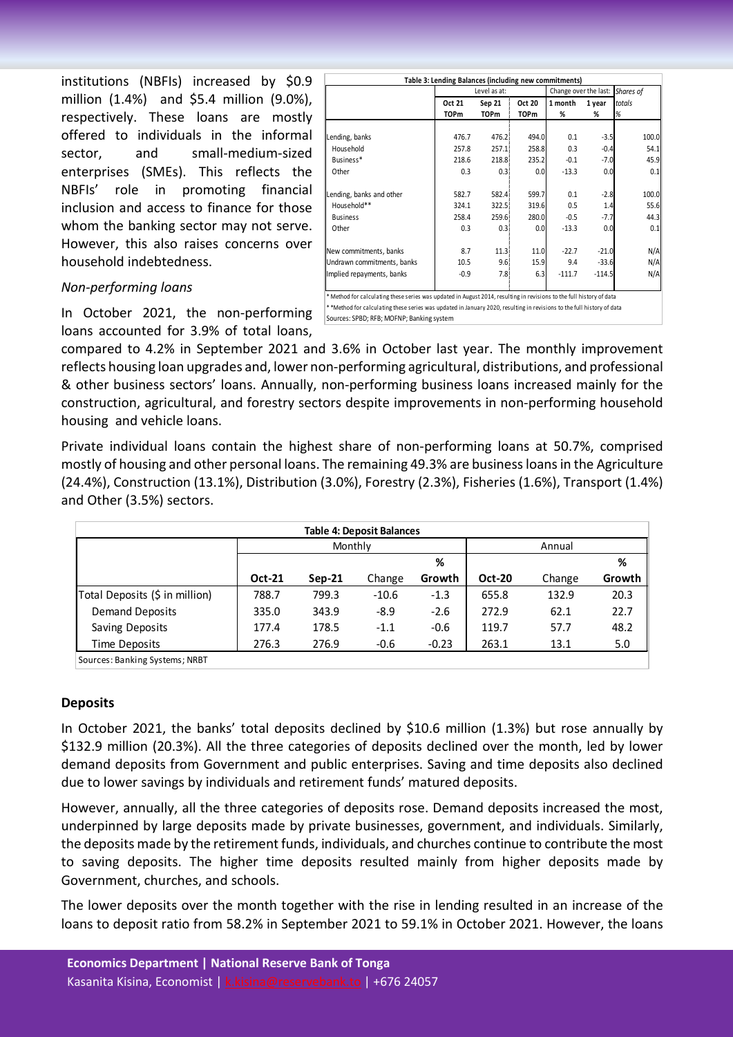institutions (NBFIs) increased by \$0.9 million (1.4%) and \$5.4 million (9.0%), respectively. These loans are mostly offered to individuals in the informal sector, and small-medium-sized enterprises (SMEs). This reflects the NBFIs' role in promoting financial inclusion and access to finance for those whom the banking sector may not serve. However, this also raises concerns over household indebtedness.

#### *Non-performing loans*

loans accounted for 3.9% of total loans,

|                            |             | Level as at: |             | Change over the last: | Shares of |        |
|----------------------------|-------------|--------------|-------------|-----------------------|-----------|--------|
|                            | Oct 21      | Sep 21       | Oct 20      | 1 month               | 1 year    | totals |
|                            | <b>TOPm</b> | <b>TOPm</b>  | <b>TOPm</b> | %                     | %         | %      |
|                            |             |              |             |                       |           |        |
| Lending, banks             | 476.7       | 476.2        | 494.0       | 0.1                   | $-3.5$    | 100.0  |
| Household                  | 257.8       | 257.1        | 258.8       | 0.3                   | $-0.4$    | 54.1   |
| Business*                  | 218.6       | 218.8        | 235.2       | $-0.1$                | $-7.0$    | 45.9   |
| Other                      | 0.3         | 0.3          | 0.0         | $-13.3$               | 0.0       | 0.1    |
| Lending, banks and other   | 582.7       | 582.4        | 599.7       | 0.1                   | $-2.8$    | 100.0  |
| Household**                | 324.1       | 322.5        | 319.6       | 0.5                   | 1.4       | 55.6   |
| <b>Business</b>            | 258.4       | 259.6        | 280.0       | $-0.5$                | $-7.7$    | 44.3   |
| Other                      | 0.3         | 0.31         | 0.0         | $-13.3$               | 0.0       | 0.1    |
| New commitments, banks     | 8.7         | 11.3         | 11.0        | $-22.7$               | $-21.0$   | N/A    |
| Undrawn commitments, banks | 10.5        | 9.6          | 15.9        | 9.4                   | $-33.6$   | N/A    |
| Implied repayments, banks  | $-0.9$      | 7.81         | 6.3         | $-111.7$              | $-114.5$  | N/A    |

In October 2021, the non-performing suppose the inditional time series was updated in January 2020, resulting in revisions to the full history of data contains the full history of data contains the contains that the conta Sources: SPBD; RFB; MOFNP; Banking system

compared to 4.2% in September 2021 and 3.6% in October last year. The monthly improvement reflects housing loan upgrades and, lower non-performing agricultural, distributions, and professional & other business sectors' loans. Annually, non-performing business loans increased mainly for the construction, agricultural, and forestry sectors despite improvements in non-performing household housing and vehicle loans.

Private individual loans contain the highest share of non-performing loans at 50.7%, comprised mostly of housing and other personal loans. The remaining 49.3% are businessloans in the Agriculture (24.4%), Construction (13.1%), Distribution (3.0%), Forestry (2.3%), Fisheries (1.6%), Transport (1.4%) and Other (3.5%) sectors.

| <b>Table 4: Deposit Balances</b> |               |        |         |         |               |        |        |  |
|----------------------------------|---------------|--------|---------|---------|---------------|--------|--------|--|
|                                  | Monthly       |        |         |         | Annual        |        |        |  |
|                                  |               |        |         | %       |               |        | %      |  |
|                                  | <b>Oct-21</b> | Sep-21 | Change  | Growth  | <b>Oct-20</b> | Change | Growth |  |
| Total Deposits (\$ in million)   | 788.7         | 799.3  | $-10.6$ | $-1.3$  | 655.8         | 132.9  | 20.3   |  |
| Demand Deposits                  | 335.0         | 343.9  | $-8.9$  | $-2.6$  | 272.9         | 62.1   | 22.7   |  |
| Saving Deposits                  | 177.4         | 178.5  | $-1.1$  | $-0.6$  | 119.7         | 57.7   | 48.2   |  |
| Time Deposits                    | 276.3         | 276.9  | $-0.6$  | $-0.23$ | 263.1         | 13.1   | 5.0    |  |
|                                  |               |        |         |         |               |        |        |  |

Sources: Banking Systems; NRBT

#### **Deposits**

In October 2021, the banks' total deposits declined by \$10.6 million (1.3%) but rose annually by \$132.9 million (20.3%). All the three categories of deposits declined over the month, led by lower demand deposits from Government and public enterprises. Saving and time deposits also declined due to lower savings by individuals and retirement funds' matured deposits.

However, annually, all the three categories of deposits rose. Demand deposits increased the most, underpinned by large deposits made by private businesses, government, and individuals. Similarly, the deposits made by the retirement funds, individuals, and churches continue to contribute the most to saving deposits. The higher time deposits resulted mainly from higher deposits made by Government, churches, and schools.

The lower deposits over the month together with the rise in lending resulted in an increase of the loans to deposit ratio from 58.2% in September 2021 to 59.1% in October 2021. However, the loans